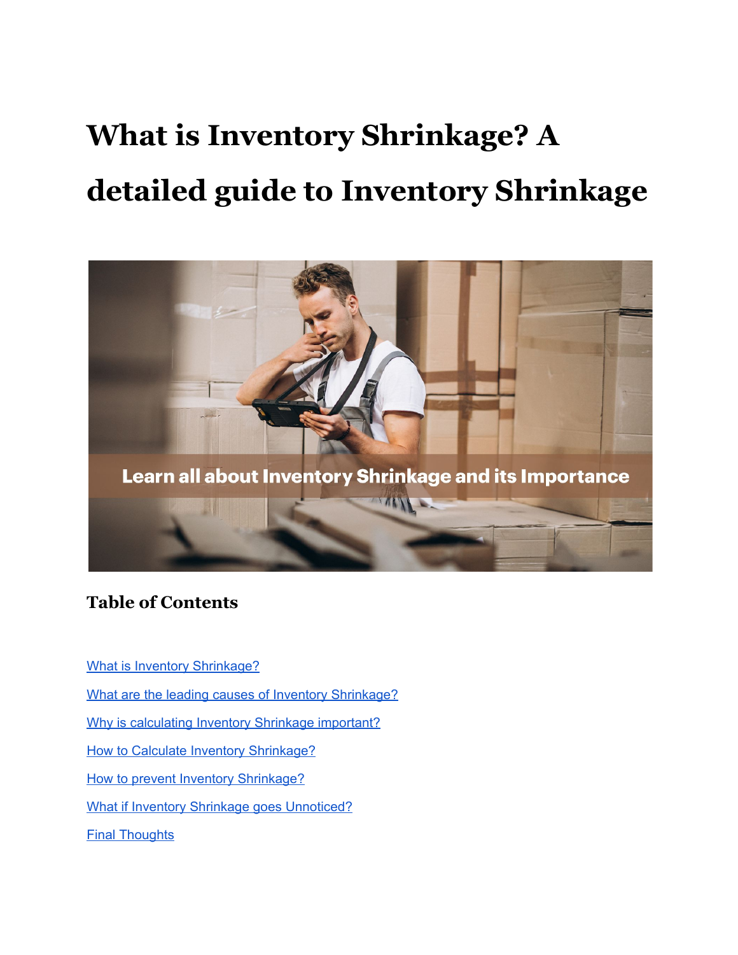# **What is Inventory Shrinkage? A detailed guide to Inventory Shrinkage**



#### **Table of Contents**

What is Inventory [Shrinkage?](#page-1-0) What are the leading causes of Inventory [Shrinkage?](#page-1-1) Why is [calculating](#page-3-0) Inventory Shrinkage important?

How to Calculate Inventory [Shrinkage?](#page-3-1)

How to prevent Inventory [Shrinkage?](#page-4-0)

What if Inventory Shrinkage goes [Unnoticed?](#page-12-0)

**Final [Thoughts](#page-16-0)**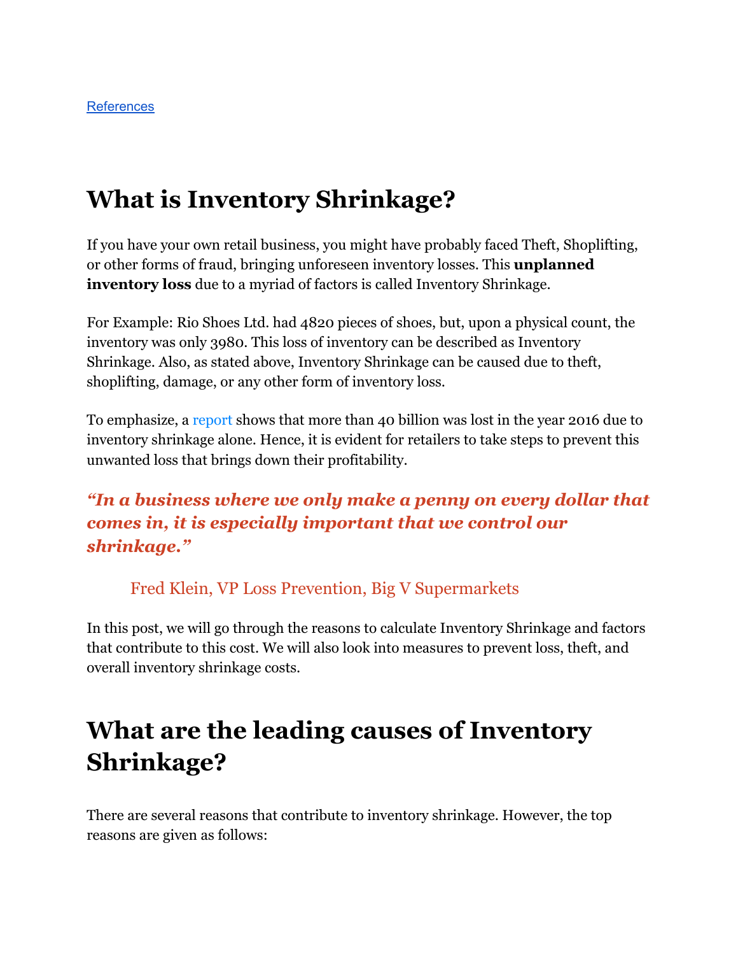# <span id="page-1-0"></span>**What is Inventory Shrinkage?**

If you have your own retail business, you might have probably faced Theft, Shoplifting, or other forms of fraud, bringing unforeseen inventory losses. This **unplanned inventory loss** due to a myriad of factors is called Inventory Shrinkage.

For Example: Rio Shoes Ltd. had 4820 pieces of shoes, but, upon a physical count, the inventory was only 3980. This loss of inventory can be described as Inventory Shrinkage. Also, as stated above, Inventory Shrinkage can be caused due to theft, shoplifting, damage, or any other form of inventory loss.

To emphasize, a [report](https://nrf.com/media/press-releases/nrfuniversity-of-florida-survey-says-retail-shrink-increased-489-billion-2016) shows that more than 40 billion was lost in the year 2016 due to inventory shrinkage alone. Hence, it is evident for retailers to take steps to prevent this unwanted loss that brings down their profitability.

#### *"In a business where we only make a penny on every dollar that comes in, it is especially important that we control our shrinkage."*

#### Fred Klein, VP Loss Prevention, Big V Supermarkets

In this post, we will go through the reasons to calculate Inventory Shrinkage and factors that contribute to this cost. We will also look into measures to prevent loss, theft, and overall inventory shrinkage costs.

# <span id="page-1-1"></span>**What are the leading causes of Inventory Shrinkage?**

There are several reasons that contribute to inventory shrinkage. However, the top reasons are given as follows: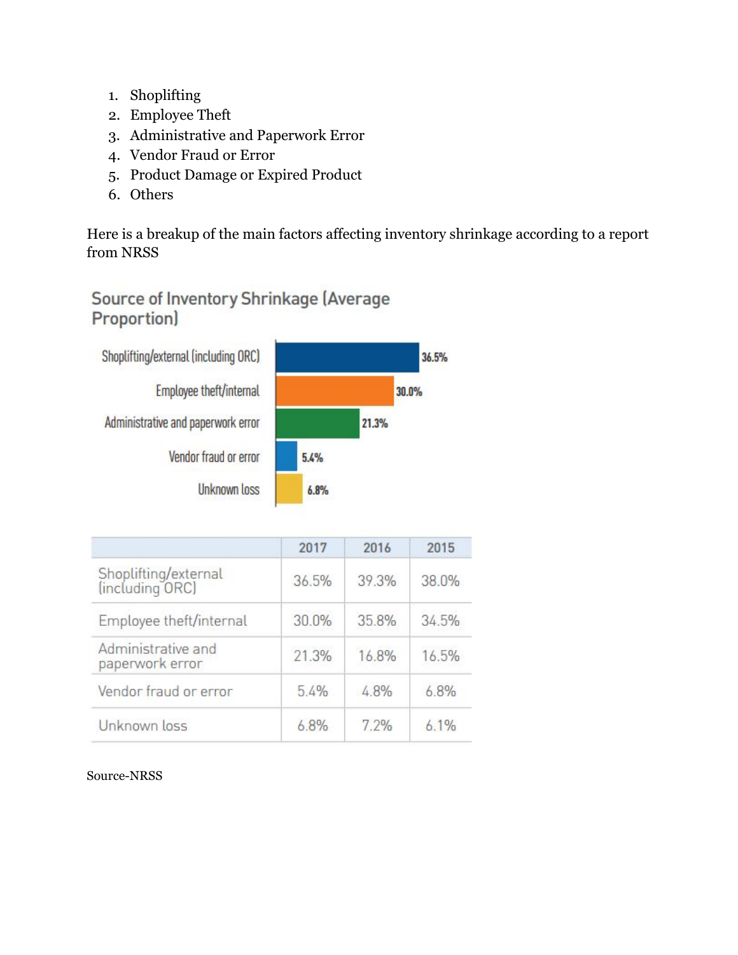- 1. Shoplifting
- 2. Employee Theft
- 3. Administrative and Paperwork Error
- 4. Vendor Fraud or Error
- 5. Product Damage or Expired Product
- 6. Others

Here is a breakup of the main factors affecting inventory shrinkage according to a report from NRSS

#### Source of Inventory Shrinkage (Average Proportion)



|                                         | 2017  | 2016  | 2015  |  |
|-----------------------------------------|-------|-------|-------|--|
| Shoplifting/external<br>(including ORC) | 36.5% | 39.3% | 38.0% |  |
| Employee theft/internal                 | 30.0% | 35.8% | 34.5% |  |
| Administrative and<br>paperwork error   | 21.3% | 16.8% | 16.5% |  |
| Vendor fraud or error                   | 5.4%  | 4.8%  | 6.8%  |  |
| Unknown loss                            | 6.8%  | 7.2%  | 6.1%  |  |

Source-NRSS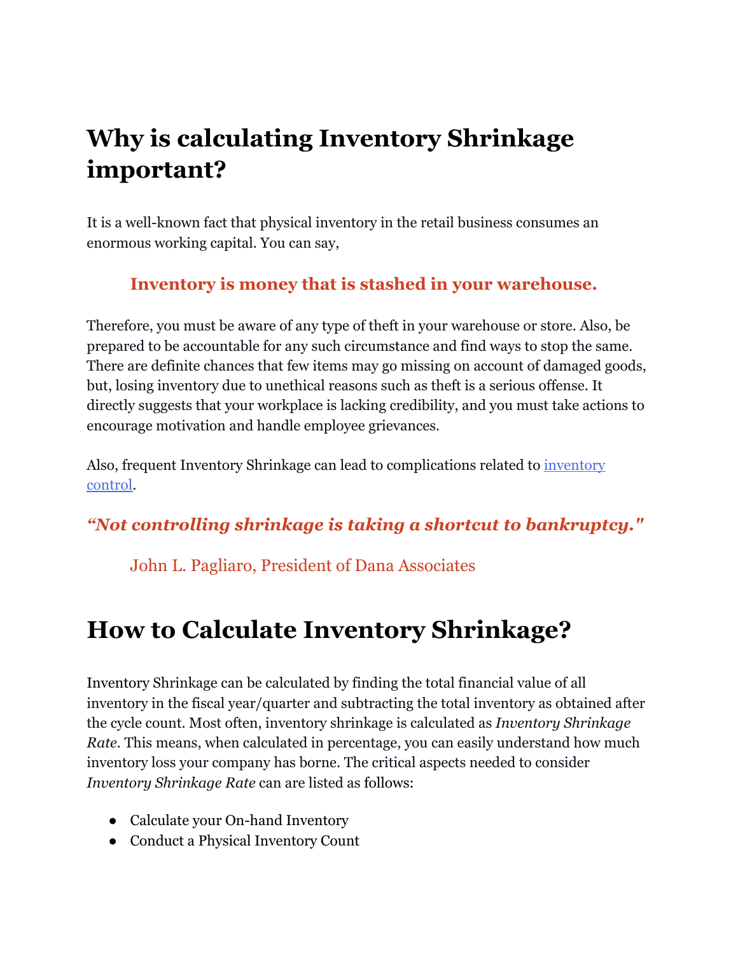# <span id="page-3-0"></span>**Why is calculating Inventory Shrinkage important?**

It is a well-known fact that physical inventory in the retail business consumes an enormous working capital. You can say,

#### **Inventory is money that is stashed in your warehouse.**

Therefore, you must be aware of any type of theft in your warehouse or store. Also, be prepared to be accountable for any such circumstance and find ways to stop the same. There are definite chances that few items may go missing on account of damaged goods, but, losing inventory due to unethical reasons such as theft is a serious offense. It directly suggests that your workplace is lacking credibility, and you must take actions to encourage motivation and handle employee grievances.

Also, frequent Inventory Shrinkage can lead to complications related to [inventory](https://www.orderhive.com/inventory-control.html) [control.](https://www.orderhive.com/inventory-control.html)

*"Not controlling shrinkage is taking a shortcut to bankruptcy."*

John L. Pagliaro, President of Dana Associates

# <span id="page-3-1"></span>**How to Calculate Inventory Shrinkage?**

Inventory Shrinkage can be calculated by finding the total financial value of all inventory in the fiscal year/quarter and subtracting the total inventory as obtained after the cycle count. Most often, inventory shrinkage is calculated as *Inventory Shrinkage Rate.* This means, when calculated in percentage, you can easily understand how much inventory loss your company has borne. The critical aspects needed to consider *Inventory Shrinkage Rate* can are listed as follows:

- Calculate your On-hand Inventory
- Conduct a Physical Inventory Count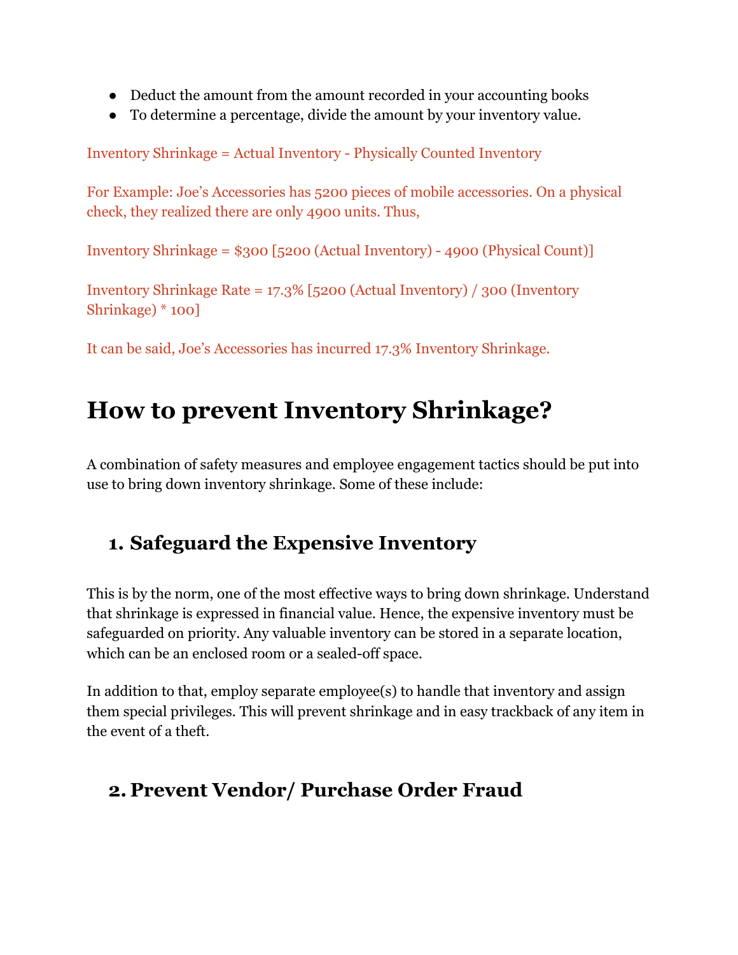- Deduct the amount from the amount recorded in your accounting books
- To determine a percentage, divide the amount by your inventory value.

Inventory Shrinkage = Actual Inventory - Physically Counted Inventory

For Example: Joe's Accessories has 5200 pieces of mobile accessories. On a physical check, they realized there are only 4900 units. Thus,

Inventory Shrinkage = \$300 [5200 (Actual Inventory) - 4900 (Physical Count)]

Inventory Shrinkage Rate = 17.3% [5200 (Actual Inventory) / 300 (Inventory Shrinkage) \* 100]

It can be said, Joe's Accessories has incurred 17.3% Inventory Shrinkage.

# <span id="page-4-0"></span>**How to prevent Inventory Shrinkage?**

A combination of safety measures and employee engagement tactics should be put into use to bring down inventory shrinkage. Some of these include:

#### **1. Safeguard the Expensive Inventory**

This is by the norm, one of the most effective ways to bring down shrinkage. Understand that shrinkage is expressed in financial value. Hence, the expensive inventory must be safeguarded on priority. Any valuable inventory can be stored in a separate location, which can be an enclosed room or a sealed-off space.

In addition to that, employ separate employee(s) to handle that inventory and assign them special privileges. This will prevent shrinkage and in easy trackback of any item in the event of a theft.

#### **2. Prevent Vendor/ Purchase Order Fraud**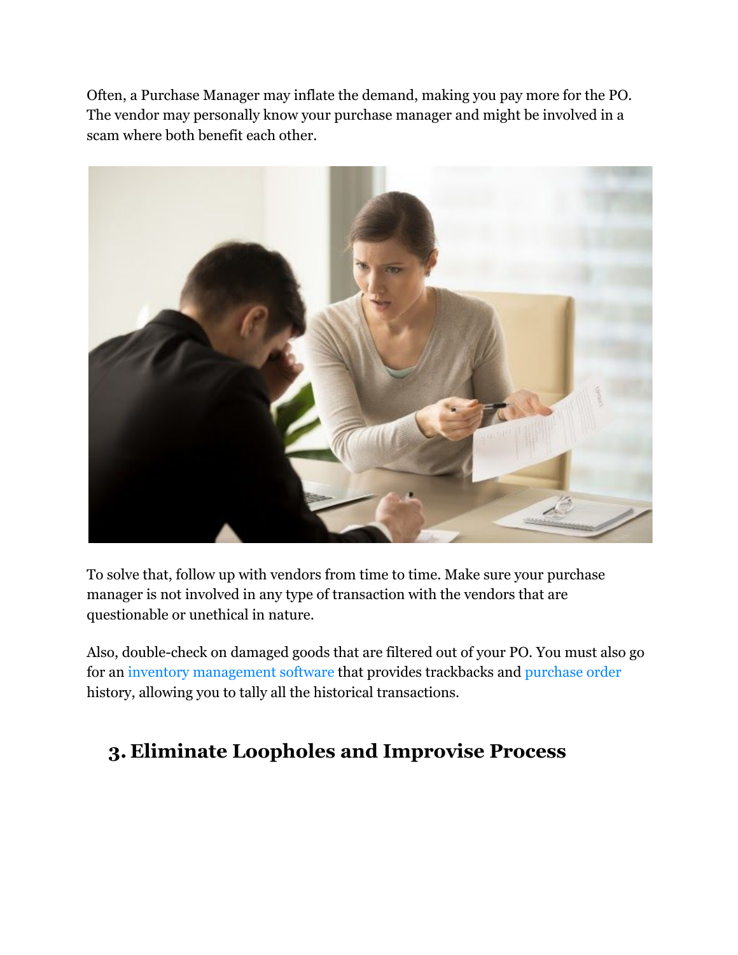Often, a Purchase Manager may inflate the demand, making you pay more for the PO. The vendor may personally know your purchase manager and might be involved in a scam where both benefit each other.



To solve that, follow up with vendors from time to time. Make sure your purchase manager is not involved in any type of transaction with the vendors that are questionable or unethical in nature.

Also, double-check on damaged goods that are filtered out of your PO. You must also go for an [inventory management software](https://www.orderhive.com/) that provides trackbacks and [purchase order](https://www.orderhive.com/purchase-order-management.html) history, allowing you to tally all the historical transactions.

### **3. Eliminate Loopholes and Improvise Process**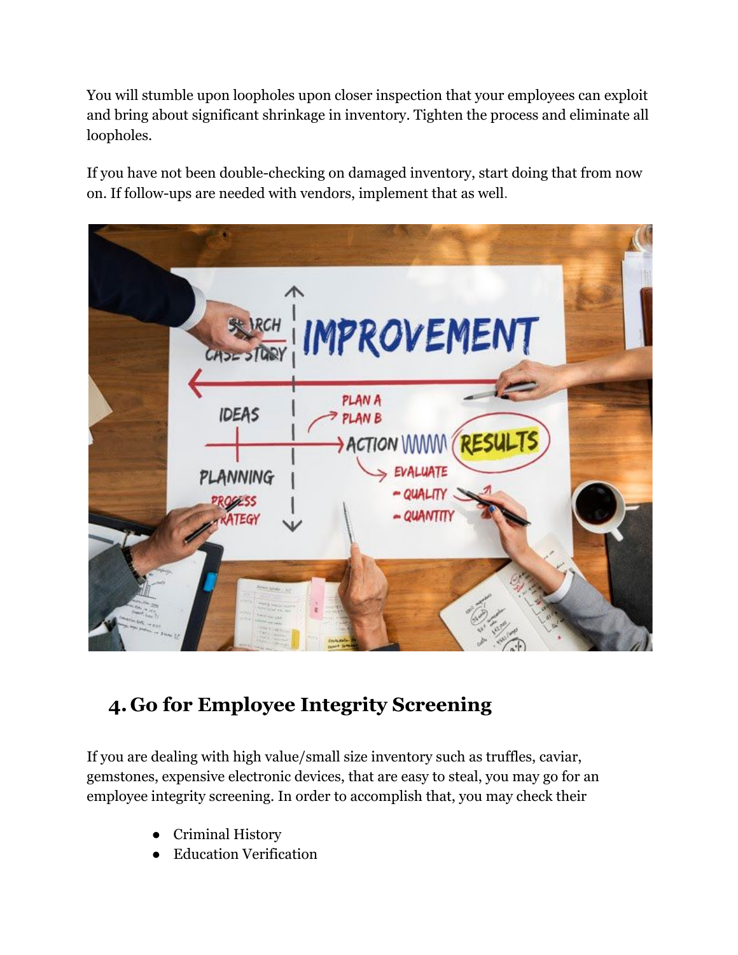You will stumble upon loopholes upon closer inspection that your employees can exploit and bring about significant shrinkage in inventory. Tighten the process and eliminate all loopholes.

If you have not been double-checking on damaged inventory, start doing that from now on. If follow-ups are needed with vendors, implement that as well.



### **4. Go for Employee Integrity Screening**

If you are dealing with high value/small size inventory such as truffles, caviar, gemstones, expensive electronic devices, that are easy to steal, you may go for an employee integrity screening. In order to accomplish that, you may check their

- Criminal History
- **Education Verification**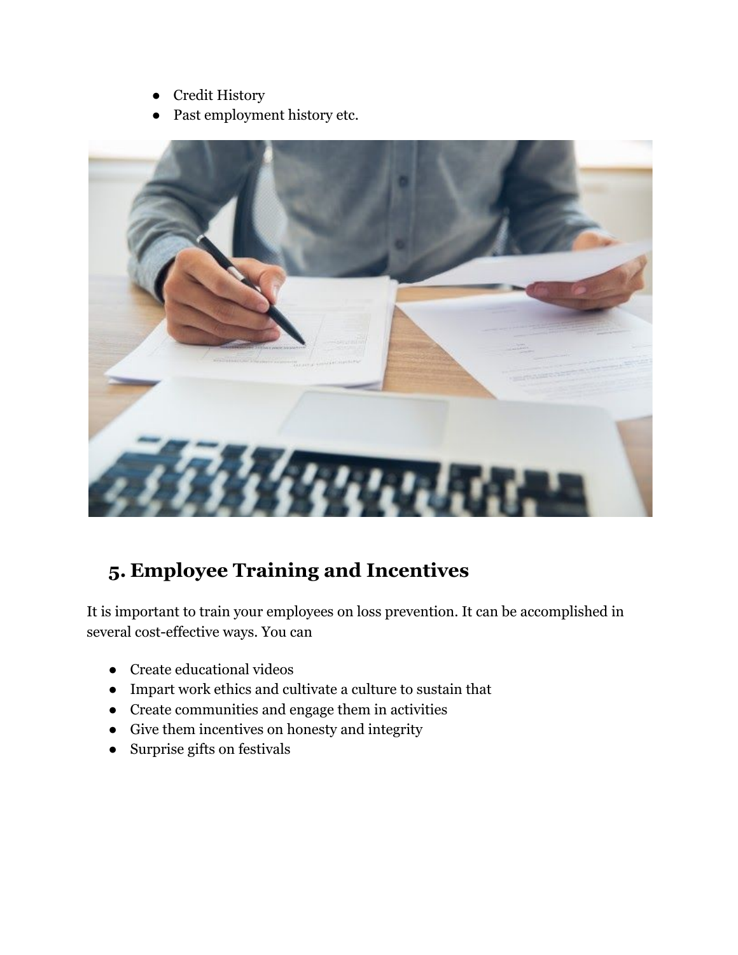- Credit History
- Past employment history etc.



### **5. Employee Training and Incentives**

It is important to train your employees on loss prevention. It can be accomplished in several cost-effective ways. You can

- Create educational videos
- Impart work ethics and cultivate a culture to sustain that
- Create communities and engage them in activities
- Give them incentives on honesty and integrity
- Surprise gifts on festivals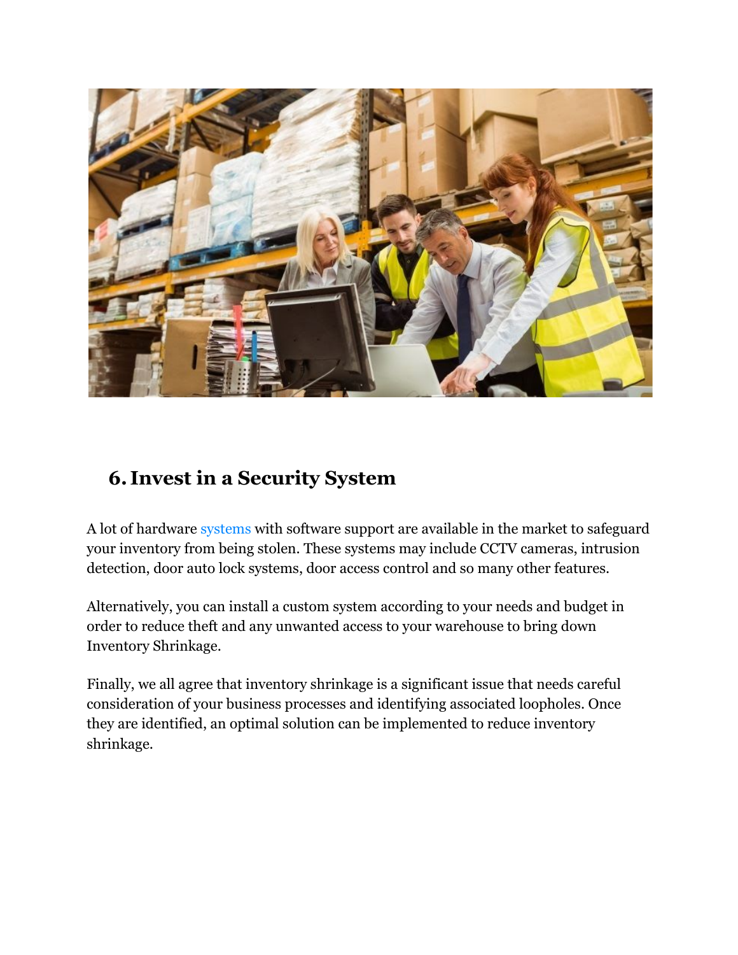

### **6. Invest in a Security System**

A lot of hardware [systems](http://www.security.honeywell.com/star/HSCE_Files/Files/A-Warehouse.htm) with software support are available in the market to safeguard your inventory from being stolen. These systems may include CCTV cameras, intrusion detection, door auto lock systems, door access control and so many other features.

Alternatively, you can install a custom system according to your needs and budget in order to reduce theft and any unwanted access to your warehouse to bring down Inventory Shrinkage.

Finally, we all agree that inventory shrinkage is a significant issue that needs careful consideration of your business processes and identifying associated loopholes. Once they are identified, an optimal solution can be implemented to reduce inventory shrinkage.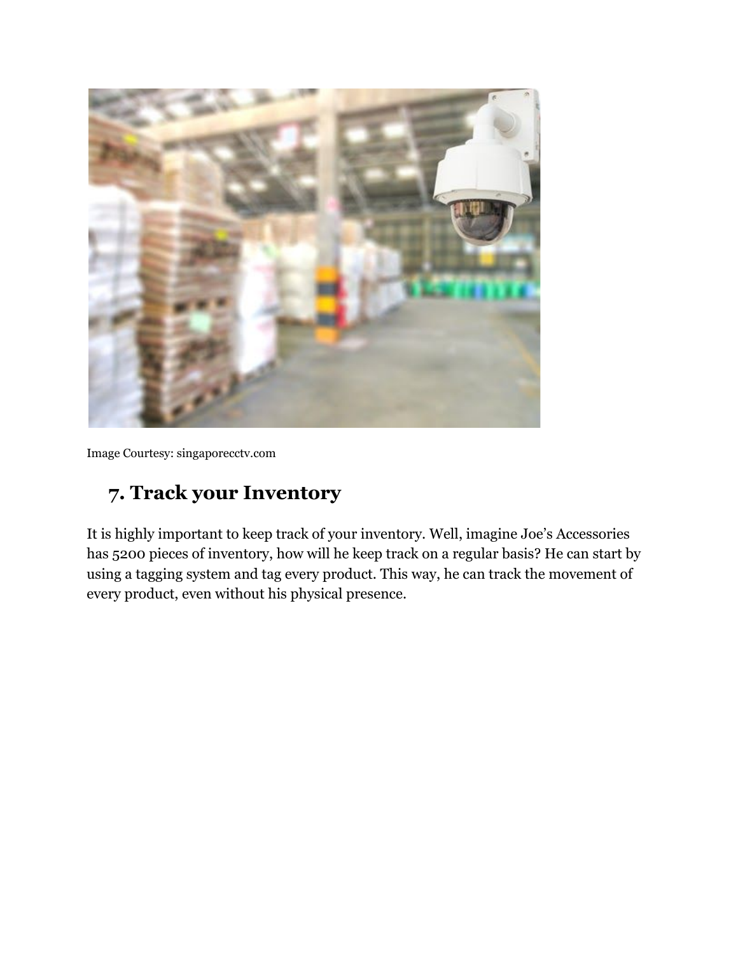

Image Courtesy: singaporecctv.com

### **7. Track your Inventory**

It is highly important to keep track of your inventory. Well, imagine Joe's Accessories has 5200 pieces of inventory, how will he keep track on a regular basis? He can start by using a tagging system and tag every product. This way, he can track the movement of every product, even without his physical presence.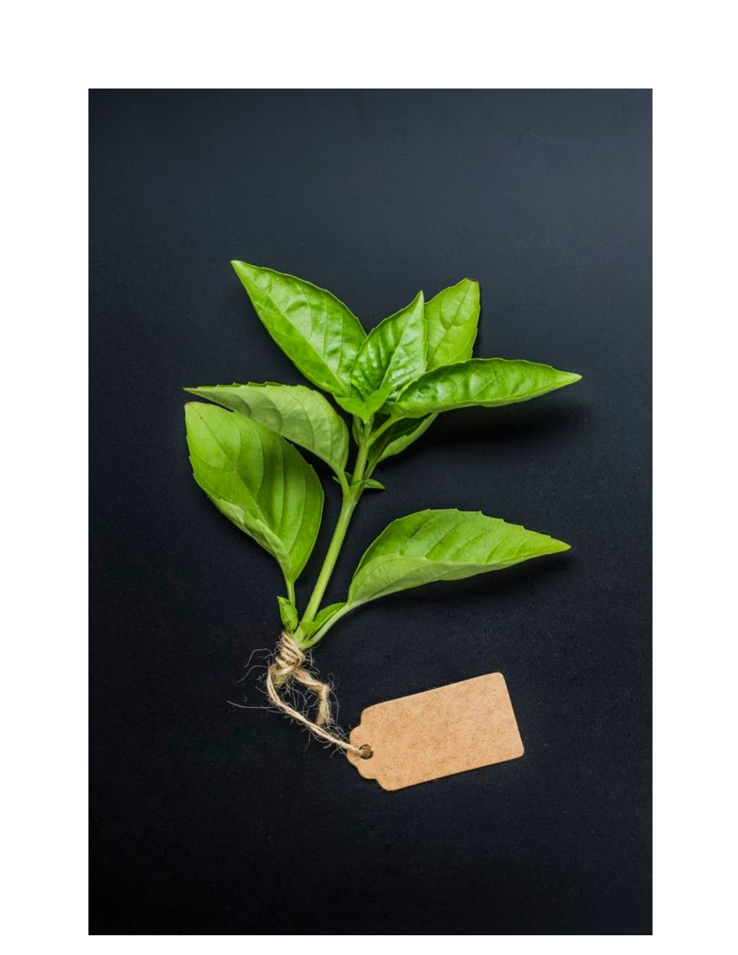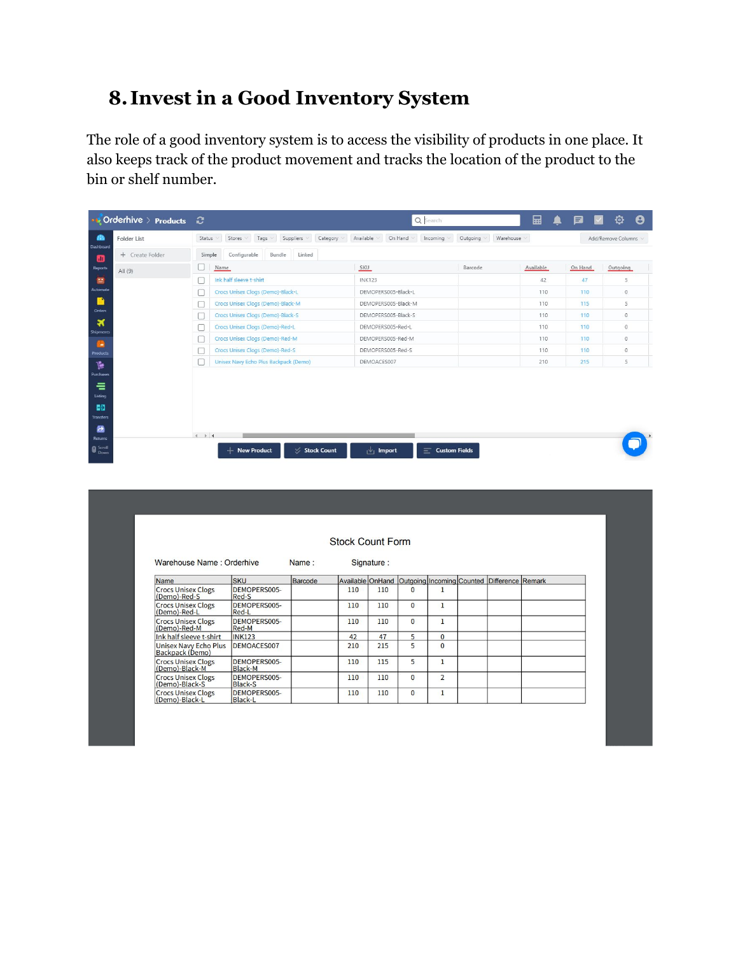## **8. Invest in a Good Inventory System**

The role of a good inventory system is to access the visibility of products in one place. It also keeps track of the product movement and tracks the location of the product to the bin or shelf number.

| orderhive > Products 2            |                                                   | Q Search                                  |                       |                         |         | $\boldsymbol{\Theta}$<br>◎<br>$\checkmark$ |  |  |
|-----------------------------------|---------------------------------------------------|-------------------------------------------|-----------------------|-------------------------|---------|--------------------------------------------|--|--|
| <b>Folder List</b><br>œ           | Status<br>Stores<br>Suppliers<br>Tags<br>Category | Available<br>On Hand<br>Incoming          | Warehouse<br>Outgoing |                         |         | Add/Remove Columns                         |  |  |
| Dashboard<br>+ Create Folder<br>m | Configurable<br>Bundle<br>Linked<br>Simple        |                                           |                       |                         |         |                                            |  |  |
| <b>Reports</b><br>AII (9)         | Name                                              | <b>SKU</b>                                | Barcode               | Available               | On Hand | Outgoing                                   |  |  |
| 雷                                 | Ink half sleeve t-shirt                           | <b>INK123</b>                             |                       | 42<br>110<br>110<br>110 | 47      | 5                                          |  |  |
| Automate                          | Crocs Unisex Clogs (Demo)-Black-L                 | DEMOPERS005-Black-L                       |                       |                         | 110     | $\circ$                                    |  |  |
|                                   | Crocs Unisex Clogs (Demo)-Black-M                 | DEMOPERS005-Black-M                       |                       |                         | 115     | 5                                          |  |  |
| Orders                            | Crocs Unisex Clogs (Demo)-Black-S                 | DEMOPERS005-Black-S                       |                       |                         | 110     | $\circ$                                    |  |  |
| ×<br><b>Shipments</b>             | Crocs Unisex Clogs (Demo)-Red-L                   | DEMOPERS005-Red-L                         |                       | 110                     | 110     | $\circ$                                    |  |  |
| -                                 | Crocs Unisex Clogs (Demo)-Red-M                   | DEMOPERS005-Red-M                         |                       | 110                     | 110     | $\circ$                                    |  |  |
| <b>Products</b>                   | Crocs Unisex Clogs (Demo)-Red-S                   | DEMOPERS005-Red-S                         |                       | 110                     | 110     | $\circ$                                    |  |  |
| 隐                                 | Unisex Navy Echo Plus Backpack (Demo)             | DEMOACES007                               |                       | 210                     | 215     | 5                                          |  |  |
| Purchases<br>들<br>Listing         |                                                   |                                           |                       |                         |         |                                            |  |  |
| <b>ED</b><br><b>Transfers</b>     |                                                   |                                           |                       |                         |         |                                            |  |  |
| 合                                 | $4 \rightarrow 4$                                 |                                           |                       |                         |         |                                            |  |  |
| Returns<br>$\bigcirc$ Scroll      | $+$ New Product<br>Stock Count                    | $\psi_1$ Import<br>$\equiv$ Custom Fields |                       |                         |         |                                            |  |  |

|                                                 |                                |         | <b>Stock Count Form</b> |             |              |                |                                                              |  |
|-------------------------------------------------|--------------------------------|---------|-------------------------|-------------|--------------|----------------|--------------------------------------------------------------|--|
| Warehouse Name: Orderhive                       |                                | Name:   |                         | Signature : |              |                |                                                              |  |
| Name                                            | <b>SKU</b>                     | Barcode |                         |             |              |                | Available OnHand Outgoing Incoming Counted Difference Remark |  |
| <b>Crocs Unisex Clogs</b><br>(Demo)-Red-S       | DEMOPERS005-<br>Red-S          |         | 110                     | 110         | $\Omega$     |                |                                                              |  |
| <b>Crocs Unisex Clogs</b><br>(Demo)-Red-L       | DEMOPERS005-<br><b>Red-L</b>   |         | 110                     | 110         | $\Omega$     | $\mathbf{1}$   |                                                              |  |
| <b>Crocs Unisex Clogs</b><br>(Demo)-Red-M       | DEMOPERS005-<br>Red-M          |         | 110                     | 110         | $\mathbf{0}$ | $\overline{1}$ |                                                              |  |
| Ink half sleeve t-shirt                         | <b>INK123</b>                  |         | 42                      | 47          | 5            | $\Omega$       |                                                              |  |
| <b>Unisex Navy Echo Plus</b><br>Backpack (Demo) | DEMOACES007                    |         | 210                     | 215         | 5            | $\mathbf{0}$   |                                                              |  |
| Crocs Unisex Clogs<br>(Demo)-Black-M            | DEMOPERS005-<br><b>Black-M</b> |         | 110                     | 115         | 5            | $\overline{1}$ |                                                              |  |
| <b>Crocs Unisex Clogs</b><br>(Demo)-Black-S     | DEMOPERS005-<br><b>Black-S</b> |         | 110                     | 110         | $\mathbf{0}$ | $\overline{2}$ |                                                              |  |
| <b>Crocs Unisex Clogs</b><br>(Demo)-Black-L     | DEMOPERS005-<br><b>Black-L</b> |         | 110                     | 110         | $\mathbf{0}$ | $\mathbf{1}$   |                                                              |  |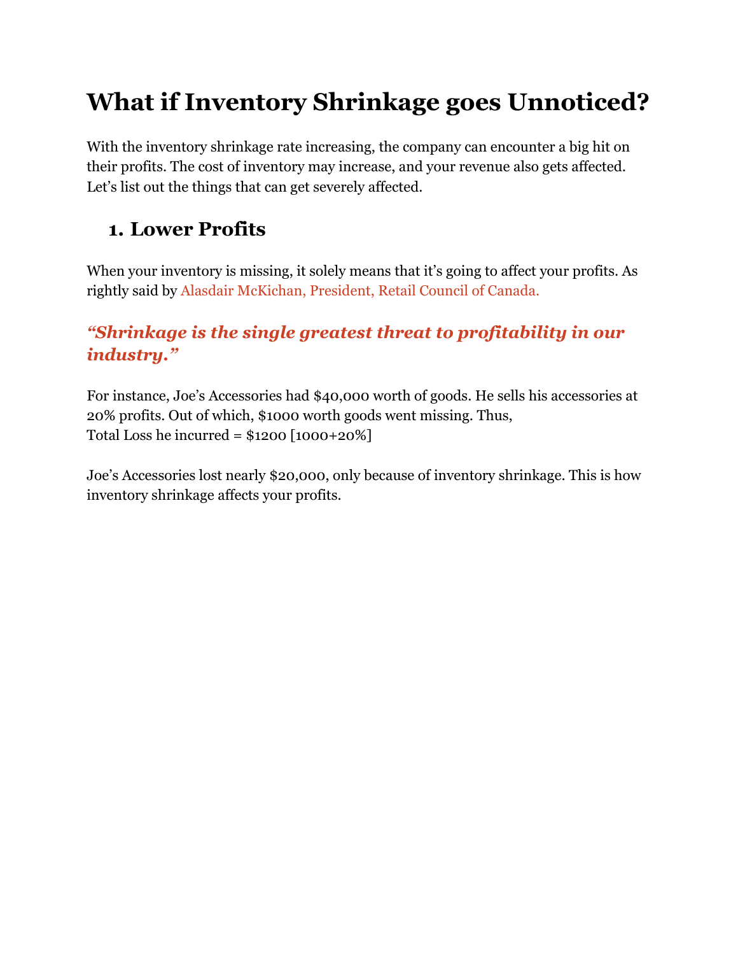# <span id="page-12-0"></span>**What if Inventory Shrinkage goes Unnoticed?**

With the inventory shrinkage rate increasing, the company can encounter a big hit on their profits. The cost of inventory may increase, and your revenue also gets affected. Let's list out the things that can get severely affected.

#### **1. Lower Profits**

When your inventory is missing, it solely means that it's going to affect your profits. As rightly said by Alasdair McKichan, President, Retail Council of Canada.

#### *"Shrinkage is the single greatest threat to profitability in our industry."*

For instance, Joe's Accessories had \$40,000 worth of goods. He sells his accessories at 20% profits. Out of which, \$1000 worth goods went missing. Thus, Total Loss he incurred = \$1200 [1000+20%]

Joe's Accessories lost nearly \$20,000, only because of inventory shrinkage. This is how inventory shrinkage affects your profits.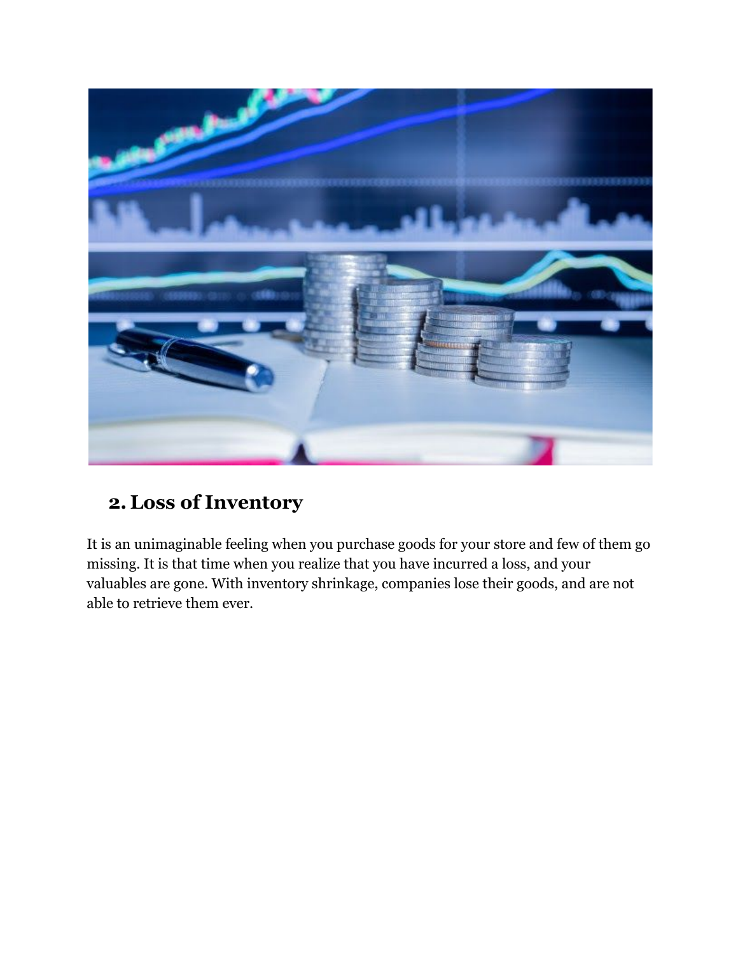

### **2.Loss of Inventory**

It is an unimaginable feeling when you purchase goods for your store and few of them go missing. It is that time when you realize that you have incurred a loss, and your valuables are gone. With inventory shrinkage, companies lose their goods, and are not able to retrieve them ever.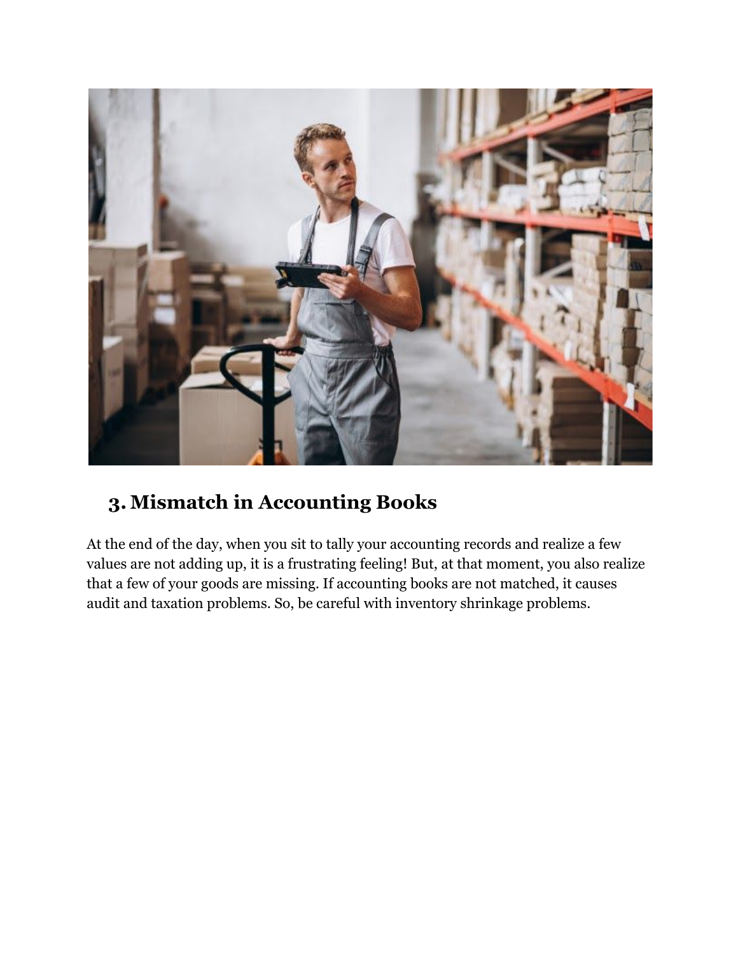

### **3. Mismatch in Accounting Books**

At the end of the day, when you sit to tally your accounting records and realize a few values are not adding up, it is a frustrating feeling! But, at that moment, you also realize that a few of your goods are missing. If accounting books are not matched, it causes audit and taxation problems. So, be careful with inventory shrinkage problems.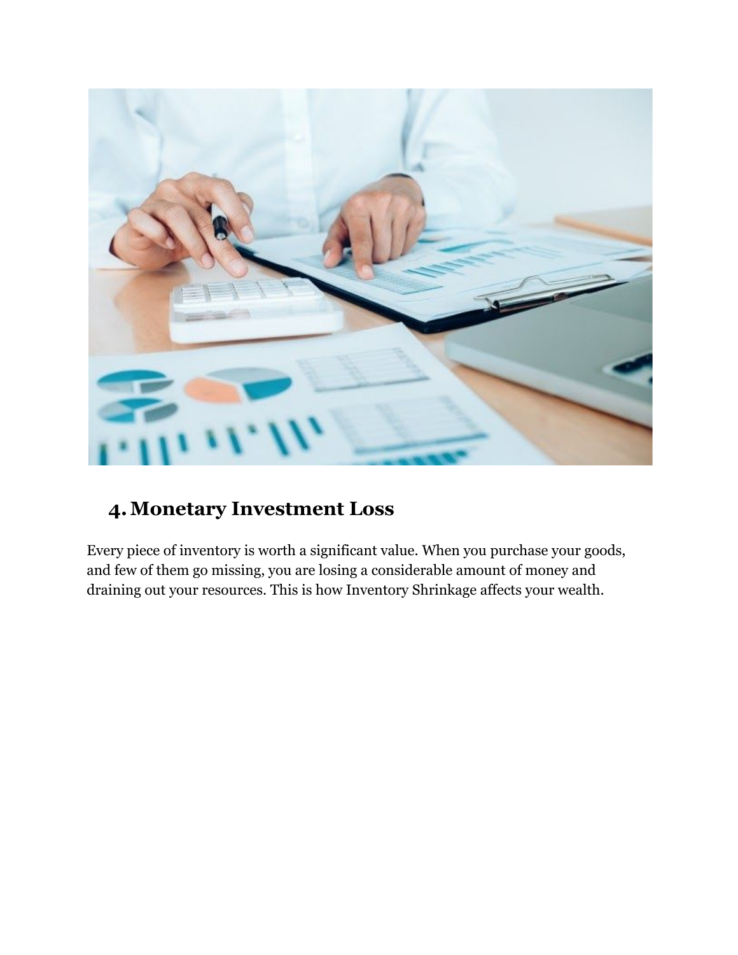

### **4.Monetary Investment Loss**

Every piece of inventory is worth a significant value. When you purchase your goods, and few of them go missing, you are losing a considerable amount of money and draining out your resources. This is how Inventory Shrinkage affects your wealth.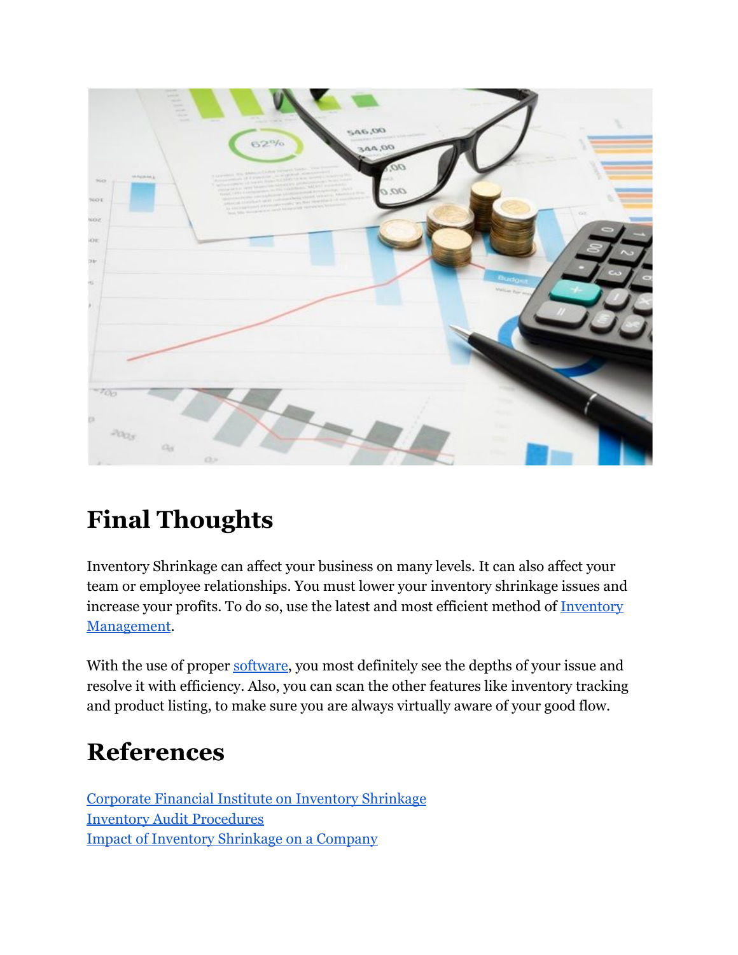

# <span id="page-16-0"></span>**Final Thoughts**

Inventory Shrinkage can affect your business on many levels. It can also affect your team or employee relationships. You must lower your inventory shrinkage issues and increase your profits. To do so, use the latest and most efficient method of **[Inventory](https://www.orderhive.com/inventory-management.html)** [Management.](https://www.orderhive.com/inventory-management.html)

With the use of proper [software](https://www.orderhive.com/), you most definitely see the depths of your issue and resolve it with efficiency. Also, you can scan the other features like inventory tracking and product listing, to make sure you are always virtually aware of your good flow.

# <span id="page-16-1"></span>**References**

[Corporate Financial Institute on Inventory Shrinkage](https://corporatefinanceinstitute.com/resources/knowledge/accounting/inventory-shrinkage/) [Inventory Audit Procedures](https://corporatefinanceinstitute.com/resources/knowledge/accounting/inventory-audit/) [Impact of Inventory Shrinkage on a Company](https://yourbusiness.azcentral.com/impact-can-shrinkage-company-2937.html)